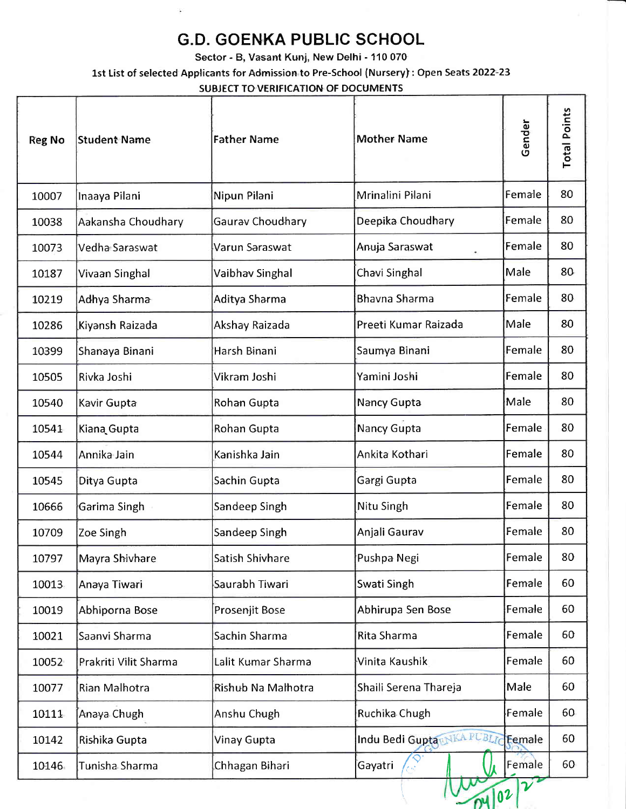## G.D. GOENKA PUBLIC SCHOOL

Sector - B, Vasant Kunj, New Delhi - 110 070

1st List of selected Applicants for Adrnission to Pre-School (Nursery): Open Seats 2022-23

SUBJECT TO VERIFICATION OF DOCUMENTS

| <b>Reg No</b> | Student Name          | <b>Father Name</b> | <b>Mother Name</b>          | Gender        | <b>Total Points</b> |
|---------------|-----------------------|--------------------|-----------------------------|---------------|---------------------|
| 10007         | Inaaya Pilani         | Nipun Pilani       | Mrinalini Pilani            | Female        | 80                  |
| 10038         | Aakansha Choudhary    | Gaurav Choudhary   | Deepika Choudhary           | Female        | 80                  |
| 10073         | Vedha Saraswat        | Varun Saraswat     | Anuja Saraswat              | Female        | 80                  |
| 10187         | Vivaan Singhal        | Vaibhav Singhal    | Chavi Singhal               | Male          | 80                  |
| 10219         | Adhya Sharma          | Aditya Sharma      | <b>Bhavna Sharma</b>        | Female        | 80                  |
| 10286         | Kiyansh Raizada       | Akshay Raizada     | Preeti Kumar Raizada        | Male          | 80                  |
| 10399         | Shanaya Binani        | Harsh Binani       | Saumya Binani               | Female        | 80                  |
| 10505         | Rivka Joshi           | Vikram Joshi       | Yamini Joshi                | Female        | 80                  |
| 10540         | Kavir Gupta           | Rohan Gupta        | Nancy Gupta                 | Male          | 80                  |
| 10541         | Kiana Gupta           | Rohan Gupta        | Nancy Gupta                 | Female        | 80                  |
| 10544         | Annika Jain           | Kanishka Jain      | Ankita Kothari              | Female        | 80                  |
| 10545         | Ditya Gupta           | Sachin Gupta       | Gargi Gupta                 | Female        | 80                  |
| 10666         | Garima Singh          | Sandeep Singh      | Nitu Singh                  | Female        | 80                  |
| 10709         | Zoe Singh             | Sandeep Singh      | Anjali Gaurav               | Female        | 80                  |
| 10797         | Mayra Shivhare        | Satish Shivhare    | Pushpa Negi                 | Female        | 80                  |
| 10013         | Anaya Tiwari          | Saurabh Tiwari     | Swati Singh                 | Female        | 60                  |
| 10019         | Abhiporna Bose        | Prosenjit Bose     | Abhirupa Sen Bose           | Female        | 60                  |
| 10021         | Saanvi Sharma         | Sachin Sharma      | Rita Sharma                 | Female        | 60                  |
| 10052         | Prakriti Vilit Sharma | Lalit Kumar Sharma | Vinita Kaushik              | Female        | 60                  |
| 10077         | Rian Malhotra         | Rishub Na Malhotra | Shaili Serena Thareja       | Male          | 60                  |
| 10111         | Anaya Chugh           | Anshu Chugh        | Ruchika Chugh               | Female        | 60                  |
| 10142         | Rishika Gupta         | Vinay Gupta        | Indu Bedi Gupta RNKA PUBLIC | Eemale        | 60                  |
| 10146         | Tunisha Sharma        | Chhagan Bihari     | Gayatri                     | Female        | 60                  |
|               |                       |                    |                             | $\mathcal{V}$ |                     |

 $\boldsymbol{\theta}$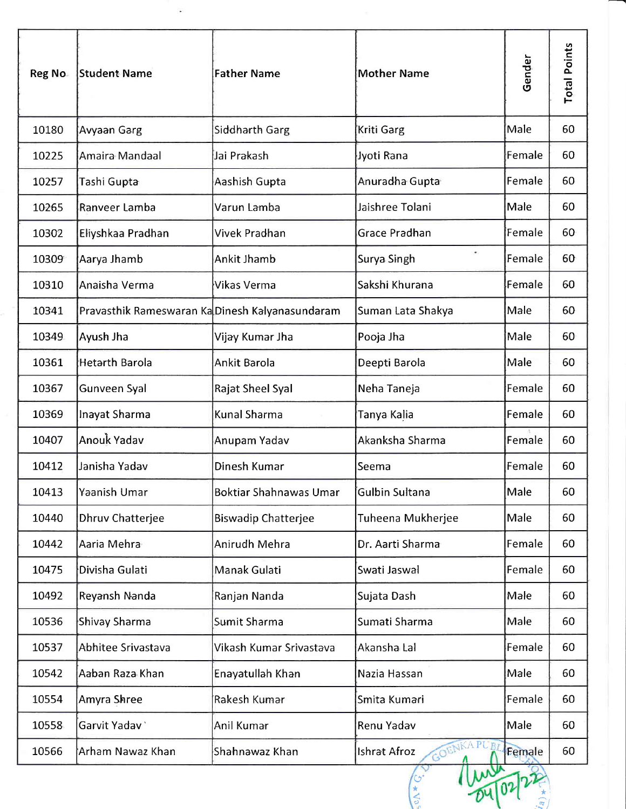| Reg No | <b>Student Name</b>                             | Father Name                   | <b>Mother Name</b>         | Gender | <b>Total Points</b> |
|--------|-------------------------------------------------|-------------------------------|----------------------------|--------|---------------------|
| 10180  | Avyaan Garg                                     | Siddharth Garg                | Kriti Garg                 | Male   | 60                  |
| 10225  | Amaira Mandaal                                  | Jai Prakash                   | Jyoti Rana                 | Female | 60                  |
| 10257  | Tashi Gupta                                     | Aashish Gupta                 | Anuradha Gupta             | Female | 60                  |
| 10265  | Ranveer Lamba                                   | Varun Lamba                   | Jaishree Tolani            | Male   | 60                  |
| 10302  | Eliyshkaa Pradhan                               | Vivek Pradhan                 | Grace Pradhan              | Female | 60                  |
| 10309  | Aarya Jhamb                                     | <b>Ankit Jhamb</b>            | $\bullet$<br>Surya Singh   | Female | 60                  |
| 10310  | Anaisha Verma                                   | Vikas Verma                   | Sakshi Khurana             | Female | 60                  |
| 10341  | Pravasthik Rameswaran Ka Dinesh Kalyanasundaram |                               | Suman Lata Shakya          | Male   | 60                  |
| 10349  | Ayush Jha                                       | Vijay Kumar Jha               | Pooja Jha                  | Male   | 60                  |
| 10361  | <b>Hetarth Barola</b>                           | Ankit Barola                  | Deepti Barola              | Male   | 60                  |
| 10367  | Gunveen Syal                                    | Rajat Sheel Syal              | Neha Taneja                | Female | 60                  |
| 10369  | Inayat Sharma                                   | <b>Kunal Sharma</b>           | Tanya Kalia                | Female | 60                  |
| 10407  | Anouk Yadav                                     | Anupam Yadav                  | Akanksha Sharma            | Female | 60                  |
| 10412  | Janisha Yadav                                   | <b>Dinesh Kumar</b>           | Seema                      | Female | 60                  |
| 10413  | Yaanish Umar                                    | <b>Boktiar Shahnawas Umar</b> | Gulbin Sultana             | Male   | 60                  |
| 10440  | Dhruv Chatterjee                                | <b>Biswadip Chatterjee</b>    | Tuheena Mukherjee          | Male   | 60                  |
| 10442  | Aaria Mehra                                     | Anirudh Mehra                 | Dr. Aarti Sharma           | Female | 60                  |
| 10475  | Divisha Gulati                                  | Manak Gulati                  | Swati Jaswal               | Female | 60                  |
| 10492  | Reyansh Nanda                                   | Ranjan Nanda                  | Sujata Dash                | Male   | 60                  |
| 10536  | Shivay Sharma                                   | Sumit Sharma                  | Sumati Sharma              | Male   | 60                  |
| 10537  | Abhitee Srivastava                              | Vikash Kumar Srivastava       | Akansha Lal                | Female | 60                  |
| 10542  | Aaban Raza Khan                                 | Enayatullah Khan              | Nazia Hassan               | Male   | 60                  |
| 10554  | Amyra Shree                                     | Rakesh Kumar                  | Smita Kumari               | Female | 60                  |
| 10558  | Garvit Yadav                                    | Anil Kumar                    | Renu Yadav                 | Male   | 60                  |
| 10566  | Arham Nawaz Khan                                | Shahnawaz Khan                | OENKA PUBI<br>Ishrat Afroz | Female | 60                  |

\*:  $\widehat{\mathbb{F}}$ 

ن<br>ا \* t)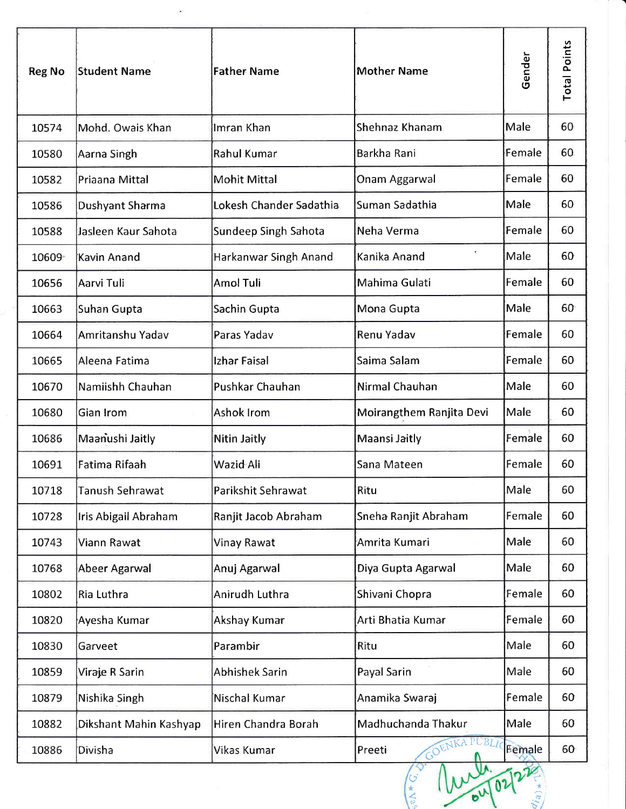| <b>Reg No</b> | <b>Student Name</b>    | <b>Father Name</b>      | <b>Mother Name</b>       | Gender | <b>Total Points</b> |
|---------------|------------------------|-------------------------|--------------------------|--------|---------------------|
| 10574         | Mohd. Owais Khan       | Imran Khan              | Shehnaz Khanam           | Male   | 60                  |
| 10580         | Aarna Singh            | <b>Rahul Kumar</b>      | Barkha Rani              | Female | 60                  |
| 10582         | Priaana Mittal         | <b>Mohit Mittal</b>     | Onam Aggarwal            | Female | 60                  |
| 10586         | Dushyant Sharma        | Lokesh Chander Sadathia | Suman Sadathia           | Male   | 60                  |
| 10588         | Jasleen Kaur Sahota    | Sundeep Singh Sahota    | Neha Verma               | Female | 60                  |
| 10609         | Kavin Anand            | Harkanwar Singh Anand   | Kanika Anand             | Male   | 60                  |
| 10656         | Aarvi Tuli             | <b>Amol Tuli</b>        | Mahima Gulati            | Female | 60                  |
| 10663         | Suhan Gupta            | Sachin Gupta            | Mona Gupta               | Male   | 60                  |
| 10664         | Amritanshu Yadav       | Paras Yadav             | Renu Yadav               | Female | 60                  |
| 10665         | Aleena Fatima          | Izhar Faisal            | Saima Salam              | Female | 60                  |
| 10670         | Namiishh Chauhan       | Pushkar Chauhan         | Nirmal Chauhan           | Male   | 60                  |
| 10680         | Gian Irom              | Ashok Irom              | Moirangthem Ranjita Devi | Male   | 60                  |
| 10686         | Maanushi Jaitly        | Nitin Jaitly            | Maansi Jaitly            | Female | 60                  |
| 10691         | Fatima Rifaah          | Wazid Ali               | Sana Mateen              | Female | 60                  |
| 10718         | Tanush Sehrawat        | Parikshit Sehrawat      | Ritu                     | Male   | 60                  |
| 10728         | Iris Abigail Abraham   | Ranjit Jacob Abraham    | Sneha Ranjit Abraham     | Female | 60                  |
| 10743         | Viann Rawat            | Vinay Rawat             | Amrita Kumari            | Male   | 60                  |
| 10768         | Abeer Agarwal          | Anuj Agarwal            | Diya Gupta Agarwal       | Male   | 60                  |
| 10802         | Ria Luthra             | Anirudh Luthra          | Shivani Chopra           | Female | 60                  |
| 10820         | Ayesha Kumar           | Akshay Kumar            | Arti Bhatia Kumar        | Female | 60                  |
| 10830         | Garveet                | Parambir                | Ritu                     | Male   | 60                  |
| 10859         | Viraje R Sarin         | <b>Abhishek Sarin</b>   | Payal Sarin              | Male   | 60                  |
| 10879         | Nishika Singh          | Nischal Kumar           | Anamika Swaraj           | Female | 60                  |
| 10882         | Dikshant Mahin Kashyap | Hiren Chandra Borah     | Madhuchanda Thakur       | Male   | 60                  |
| 10886         | Divisha                | Vikas Kumar             | GOENKA PUBLI<br>Preeti   | Eemale | 60                  |

 $\ddot{\phantom{1}}$ 

\*,  $Q'_{ia}$ 

.<br>و \* I t,